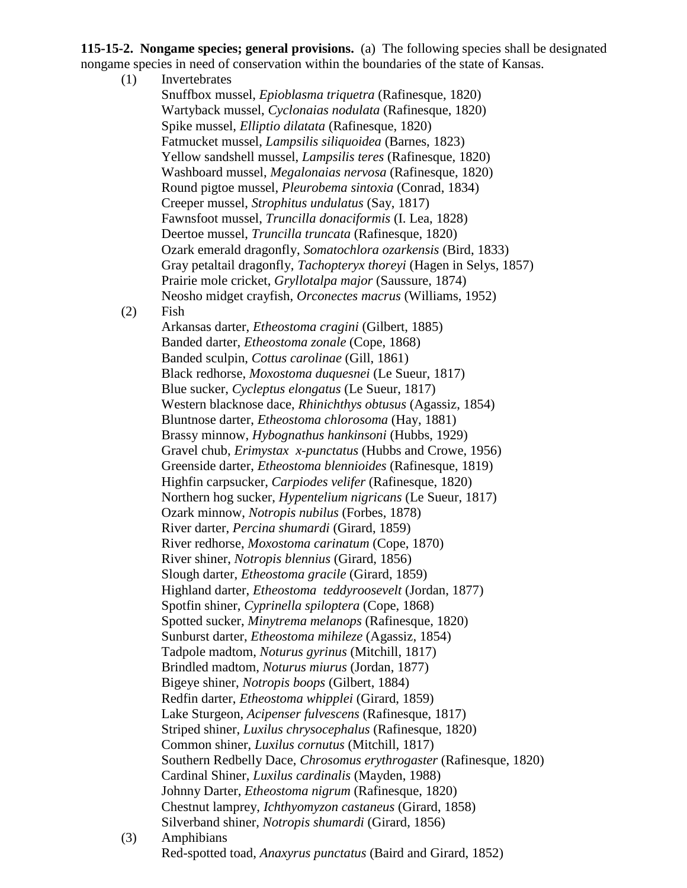**115-15-2. Nongame species; general provisions.** (a) The following species shall be designated nongame species in need of conservation within the boundaries of the state of Kansas.

- (1) Invertebrates Snuffbox mussel, *Epioblasma triquetra* (Rafinesque, 1820) Wartyback mussel, *Cyclonaias nodulata* (Rafinesque, 1820) Spike mussel, *Elliptio dilatata* (Rafinesque, 1820) Fatmucket mussel, *Lampsilis siliquoidea* (Barnes, 1823) Yellow sandshell mussel, *Lampsilis teres* (Rafinesque, 1820) Washboard mussel, *Megalonaias nervosa* (Rafinesque, 1820) Round pigtoe mussel, *Pleurobema sintoxia* (Conrad, 1834) Creeper mussel, *Strophitus undulatus* (Say, 1817) Fawnsfoot mussel, *Truncilla donaciformis* (I. Lea, 1828) Deertoe mussel, *Truncilla truncata* (Rafinesque, 1820) Ozark emerald dragonfly, *Somatochlora ozarkensis* (Bird, 1833) Gray petaltail dragonfly, *Tachopteryx thoreyi* (Hagen in Selys, 1857) Prairie mole cricket, *Gryllotalpa major* (Saussure, 1874) Neosho midget crayfish, *Orconectes macrus* (Williams, 1952) (2) Fish
- 

Arkansas darter, *Etheostoma cragini* (Gilbert, 1885) Banded darter, *Etheostoma zonale* (Cope, 1868) Banded sculpin, *Cottus carolinae* (Gill, 1861) Black redhorse, *Moxostoma duquesnei* (Le Sueur, 1817) Blue sucker, *Cycleptus elongatus* (Le Sueur, 1817) Western blacknose dace, *Rhinichthys obtusus* (Agassiz, 1854) Bluntnose darter, *Etheostoma chlorosoma* (Hay, 1881) Brassy minnow, *Hybognathus hankinsoni* (Hubbs, 1929) Gravel chub, *Erimystax x-punctatus* (Hubbs and Crowe, 1956) Greenside darter, *Etheostoma blennioides* (Rafinesque, 1819) Highfin carpsucker, *Carpiodes velifer* (Rafinesque, 1820) Northern hog sucker, *Hypentelium nigricans* (Le Sueur, 1817) Ozark minnow, *Notropis nubilus* (Forbes, 1878) River darter, *Percina shumardi* (Girard, 1859) River redhorse, *Moxostoma carinatum* (Cope, 1870) River shiner, *Notropis blennius* (Girard, 1856) Slough darter, *Etheostoma gracile* (Girard, 1859) Highland darter, *Etheostoma teddyroosevelt* (Jordan, 1877) Spotfin shiner, *Cyprinella spiloptera* (Cope, 1868) Spotted sucker, *Minytrema melanops* (Rafinesque, 1820) Sunburst darter, *Etheostoma mihileze* (Agassiz, 1854) Tadpole madtom, *Noturus gyrinus* (Mitchill, 1817) Brindled madtom, *Noturus miurus* (Jordan, 1877) Bigeye shiner, *Notropis boops* (Gilbert, 1884) Redfin darter, *Etheostoma whipplei* (Girard, 1859) Lake Sturgeon, *Acipenser fulvescens* (Rafinesque, 1817) Striped shiner, *Luxilus chrysocephalus* (Rafinesque, 1820) Common shiner, *Luxilus cornutus* (Mitchill, 1817) Southern Redbelly Dace, *Chrosomus erythrogaster* (Rafinesque, 1820) Cardinal Shiner, *Luxilus cardinalis* (Mayden, 1988) Johnny Darter, *Etheostoma nigrum* (Rafinesque, 1820) Chestnut lamprey, *Ichthyomyzon castaneus* (Girard, 1858) Silverband shiner, *Notropis shumardi* (Girard, 1856) (3) Amphibians Red-spotted toad, *Anaxyrus punctatus* (Baird and Girard, 1852)